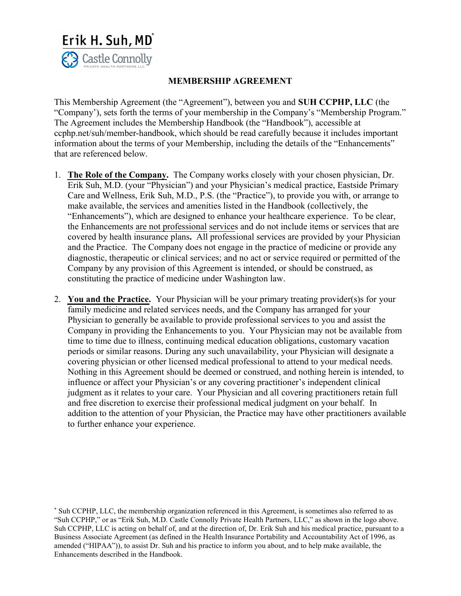

## MEMBERSHIP AGREEMENT

This Membership Agreement (the "Agreement"), between you and SUH CCPHP, LLC (the "Company'), sets forth the terms of your membership in the Company's "Membership Program." The Agreement includes the Membership Handbook (the "Handbook"), accessible at ccphp.net/suh/member-handbook, which should be read carefully because it includes important information about the terms of your Membership, including the details of the "Enhancements" that are referenced below.

- 1. The Role of the Company. The Company works closely with your chosen physician, Dr. Erik Suh, M.D. (your "Physician") and your Physician's medical practice, Eastside Primary Care and Wellness, Erik Suh, M.D., P.S. (the "Practice"), to provide you with, or arrange to make available, the services and amenities listed in the Handbook (collectively, the "Enhancements"), which are designed to enhance your healthcare experience. To be clear, the Enhancements are not professional services and do not include items or services that are covered by health insurance plans. All professional services are provided by your Physician and the Practice. The Company does not engage in the practice of medicine or provide any diagnostic, therapeutic or clinical services; and no act or service required or permitted of the Company by any provision of this Agreement is intended, or should be construed, as constituting the practice of medicine under Washington law.
- 2. You and the Practice. Your Physician will be your primary treating provider(s)s for your family medicine and related services needs, and the Company has arranged for your Physician to generally be available to provide professional services to you and assist the Company in providing the Enhancements to you. Your Physician may not be available from time to time due to illness, continuing medical education obligations, customary vacation periods or similar reasons. During any such unavailability, your Physician will designate a covering physician or other licensed medical professional to attend to your medical needs. Nothing in this Agreement should be deemed or construed, and nothing herein is intended, to influence or affect your Physician's or any covering practitioner's independent clinical judgment as it relates to your care. Your Physician and all covering practitioners retain full and free discretion to exercise their professional medical judgment on your behalf. In addition to the attention of your Physician, the Practice may have other practitioners available to further enhance your experience.

<sup>\*</sup> Suh CCPHP, LLC, the membership organization referenced in this Agreement, is sometimes also referred to as "Suh CCPHP," or as "Erik Suh, M.D. Castle Connolly Private Health Partners, LLC," as shown in the logo above. Suh CCPHP, LLC is acting on behalf of, and at the direction of, Dr. Erik Suh and his medical practice, pursuant to a Business Associate Agreement (as defined in the Health Insurance Portability and Accountability Act of 1996, as amended ("HIPAA")), to assist Dr. Suh and his practice to inform you about, and to help make available, the Enhancements described in the Handbook.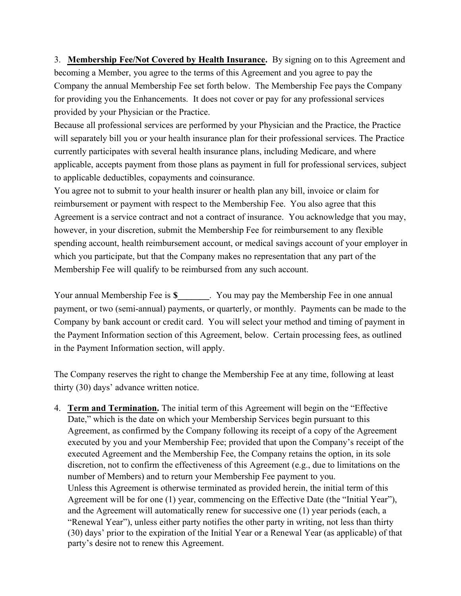3. Membership Fee/Not Covered by Health Insurance. By signing on to this Agreement and becoming a Member, you agree to the terms of this Agreement and you agree to pay the Company the annual Membership Fee set forth below. The Membership Fee pays the Company for providing you the Enhancements. It does not cover or pay for any professional services provided by your Physician or the Practice.

Because all professional services are performed by your Physician and the Practice, the Practice will separately bill you or your health insurance plan for their professional services. The Practice currently participates with several health insurance plans, including Medicare, and where applicable, accepts payment from those plans as payment in full for professional services, subject to applicable deductibles, copayments and coinsurance.

You agree not to submit to your health insurer or health plan any bill, invoice or claim for reimbursement or payment with respect to the Membership Fee. You also agree that this Agreement is a service contract and not a contract of insurance. You acknowledge that you may, however, in your discretion, submit the Membership Fee for reimbursement to any flexible spending account, health reimbursement account, or medical savings account of your employer in which you participate, but that the Company makes no representation that any part of the Membership Fee will qualify to be reimbursed from any such account.

Your annual Membership Fee is \$**\_\_\_\_\_\_\_**. You may pay the Membership Fee in one annual payment, or two (semi-annual) payments, or quarterly, or monthly. Payments can be made to the Company by bank account or credit card. You will select your method and timing of payment in the Payment Information section of this Agreement, below. Certain processing fees, as outlined in the Payment Information section, will apply.

The Company reserves the right to change the Membership Fee at any time, following at least thirty (30) days' advance written notice.

4. Term and Termination. The initial term of this Agreement will begin on the "Effective Date," which is the date on which your Membership Services begin pursuant to this Agreement, as confirmed by the Company following its receipt of a copy of the Agreement executed by you and your Membership Fee; provided that upon the Company's receipt of the executed Agreement and the Membership Fee, the Company retains the option, in its sole discretion, not to confirm the effectiveness of this Agreement (e.g., due to limitations on the number of Members) and to return your Membership Fee payment to you. Unless this Agreement is otherwise terminated as provided herein, the initial term of this Agreement will be for one (1) year, commencing on the Effective Date (the "Initial Year"), and the Agreement will automatically renew for successive one (1) year periods (each, a "Renewal Year"), unless either party notifies the other party in writing, not less than thirty (30) days' prior to the expiration of the Initial Year or a Renewal Year (as applicable) of that party's desire not to renew this Agreement.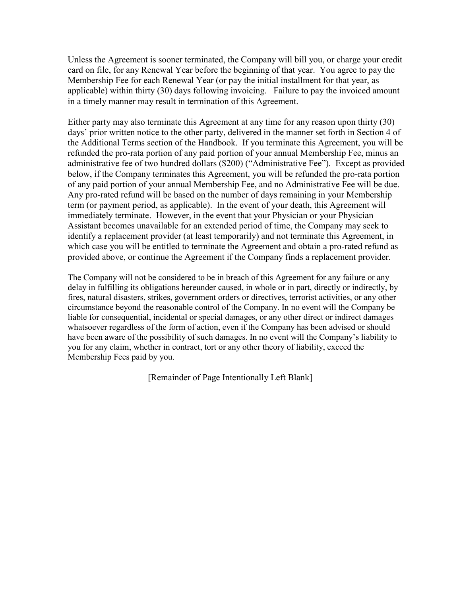Unless the Agreement is sooner terminated, the Company will bill you, or charge your credit card on file, for any Renewal Year before the beginning of that year. You agree to pay the Membership Fee for each Renewal Year (or pay the initial installment for that year, as applicable) within thirty (30) days following invoicing. Failure to pay the invoiced amount in a timely manner may result in termination of this Agreement.

Either party may also terminate this Agreement at any time for any reason upon thirty (30) days' prior written notice to the other party, delivered in the manner set forth in Section 4 of the Additional Terms section of the Handbook. If you terminate this Agreement, you will be refunded the pro-rata portion of any paid portion of your annual Membership Fee, minus an administrative fee of two hundred dollars (\$200) ("Administrative Fee"). Except as provided below, if the Company terminates this Agreement, you will be refunded the pro-rata portion of any paid portion of your annual Membership Fee, and no Administrative Fee will be due. Any pro-rated refund will be based on the number of days remaining in your Membership term (or payment period, as applicable). In the event of your death, this Agreement will immediately terminate. However, in the event that your Physician or your Physician Assistant becomes unavailable for an extended period of time, the Company may seek to identify a replacement provider (at least temporarily) and not terminate this Agreement, in which case you will be entitled to terminate the Agreement and obtain a pro-rated refund as provided above, or continue the Agreement if the Company finds a replacement provider.

The Company will not be considered to be in breach of this Agreement for any failure or any delay in fulfilling its obligations hereunder caused, in whole or in part, directly or indirectly, by fires, natural disasters, strikes, government orders or directives, terrorist activities, or any other circumstance beyond the reasonable control of the Company. In no event will the Company be liable for consequential, incidental or special damages, or any other direct or indirect damages whatsoever regardless of the form of action, even if the Company has been advised or should have been aware of the possibility of such damages. In no event will the Company's liability to you for any claim, whether in contract, tort or any other theory of liability, exceed the Membership Fees paid by you.

[Remainder of Page Intentionally Left Blank]